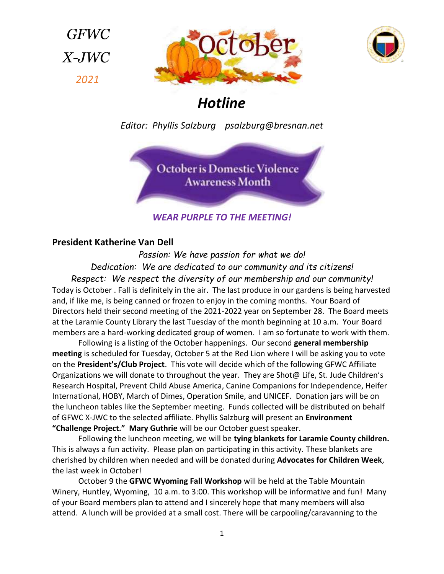*GFWC X-JWC 2021*





# *Hotline*

*Editor: Phyllis Salzburg psalzburg@bresnan.net*

October is Domestic Violence **Awareness Month** 

*WEAR PURPLE TO THE MEETING!* 

## **President Katherine Van Dell**

*Passion: We have passion for what we do! Dedication: We are dedicated to our community and its citizens! Respect: We respect the diversity of our membership and our community!* Today is October . Fall is definitely in the air. The last produce in our gardens is being harvested and, if like me, is being canned or frozen to enjoy in the coming months. Your Board of Directors held their second meeting of the 2021-2022 year on September 28. The Board meets at the Laramie County Library the last Tuesday of the month beginning at 10 a.m. Your Board members are a hard-working dedicated group of women. I am so fortunate to work with them.

Following is a listing of the October happenings. Our second **general membership meeting** is scheduled for Tuesday, October 5 at the Red Lion where I will be asking you to vote on the **President's/Club Project**. This vote will decide which of the following GFWC Affiliate Organizations we will donate to throughout the year. They are Shot@ Life, St. Jude Children's Research Hospital, Prevent Child Abuse America, Canine Companions for Independence, Heifer International, HOBY, March of Dimes, Operation Smile, and UNICEF. Donation jars will be on the luncheon tables like the September meeting. Funds collected will be distributed on behalf of GFWC X-JWC to the selected affiliate. Phyllis Salzburg will present an **Environment "Challenge Project." Mary Guthrie** will be our October guest speaker.

Following the luncheon meeting, we will be **tying blankets for Laramie County children.** This is always a fun activity. Please plan on participating in this activity. These blankets are cherished by children when needed and will be donated during **Advocates for Children Week**, the last week in October!

October 9 the **GFWC Wyoming Fall Workshop** will be held at the Table Mountain Winery, Huntley, Wyoming, 10 a.m. to 3:00. This workshop will be informative and fun! Many of your Board members plan to attend and I sincerely hope that many members will also attend. A lunch will be provided at a small cost. There will be carpooling/caravanning to the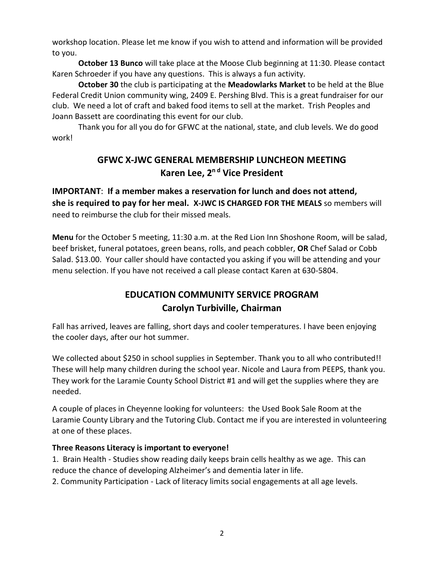workshop location. Please let me know if you wish to attend and information will be provided to you.

**October 13 Bunco** will take place at the Moose Club beginning at 11:30. Please contact Karen Schroeder if you have any questions. This is always a fun activity.

**October 30** the club is participating at the **Meadowlarks Market** to be held at the Blue Federal Credit Union community wing, 2409 E. Pershing Blvd. This is a great fundraiser for our club. We need a lot of craft and baked food items to sell at the market. Trish Peoples and Joann Bassett are coordinating this event for our club.

Thank you for all you do for GFWC at the national, state, and club levels. We do good work!

## **GFWC X-JWC GENERAL MEMBERSHIP LUNCHEON MEETING Karen Lee, 2 <sup>n</sup> <sup>d</sup> Vice President**

**IMPORTANT**: **If a member makes a reservation for lunch and does not attend, she is required to pay for her meal. X-JWC IS CHARGED FOR THE MEALS** so members will need to reimburse the club for their missed meals.

**Menu** for the October 5 meeting, 11:30 a.m. at the Red Lion Inn Shoshone Room, will be salad, beef brisket, funeral potatoes, green beans, rolls, and peach cobbler, **OR** Chef Salad or Cobb Salad. \$13.00. Your caller should have contacted you asking if you will be attending and your menu selection. If you have not received a call please contact Karen at 630-5804.

## **EDUCATION COMMUNITY SERVICE PROGRAM Carolyn Turbiville, Chairman**

Fall has arrived, leaves are falling, short days and cooler temperatures. I have been enjoying the cooler days, after our hot summer.

We collected about \$250 in school supplies in September. Thank you to all who contributed!! These will help many children during the school year. Nicole and Laura from PEEPS, thank you. They work for the Laramie County School District #1 and will get the supplies where they are needed.

A couple of places in Cheyenne looking for volunteers: the Used Book Sale Room at the Laramie County Library and the Tutoring Club. Contact me if you are interested in volunteering at one of these places.

#### **Three Reasons Literacy is important to everyone!**

1. Brain Health - Studies show reading daily keeps brain cells healthy as we age. This can reduce the chance of developing Alzheimer's and dementia later in life.

2. Community Participation - Lack of literacy limits social engagements at all age levels.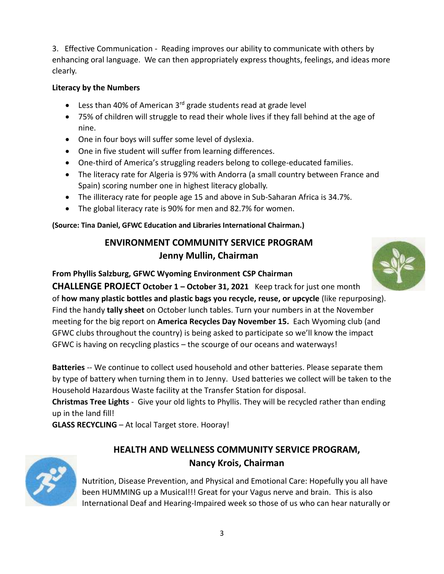3. Effective Communication - Reading improves our ability to communicate with others by enhancing oral language. We can then appropriately express thoughts, feelings, and ideas more clearly.

### **Literacy by the Numbers**

- Eless than 40% of American  $3^{rd}$  grade students read at grade level
- 75% of children will struggle to read their whole lives if they fall behind at the age of nine.
- One in four boys will suffer some level of dyslexia.
- One in five student will suffer from learning differences.
- One-third of America's struggling readers belong to college-educated families.
- The literacy rate for Algeria is 97% with Andorra (a small country between France and Spain) scoring number one in highest literacy globally.
- The illiteracy rate for people age 15 and above in Sub-Saharan Africa is 34.7%.
- The global literacy rate is 90% for men and 82.7% for women.

**(Source: Tina Daniel, GFWC Education and Libraries International Chairman.)**

## **ENVIRONMENT COMMUNITY SERVICE PROGRAM Jenny Mullin, Chairman**

#### **From Phyllis Salzburg, GFWC Wyoming Environment CSP Chairman**

**CHALLENGE PROJECT October 1 – October 31, 2021** Keep track for just one month of **how many plastic bottles and plastic bags you recycle, reuse, or upcycle** (like repurposing). Find the handy **tally sheet** on October lunch tables. Turn your numbers in at the November meeting for the big report on **America Recycles Day November 15.** Each Wyoming club (and GFWC clubs throughout the country) is being asked to participate so we'll know the impact GFWC is having on recycling plastics – the scourge of our oceans and waterways!

**Batteries** -- We continue to collect used household and other batteries. Please separate them by type of battery when turning them in to Jenny. Used batteries we collect will be taken to the Household Hazardous Waste facility at the Transfer Station for disposal.

**Christmas Tree Lights** - Give your old lights to Phyllis. They will be recycled rather than ending up in the land fill!

**GLASS RECYCLING** – At local Target store. Hooray!

## **HEALTH AND WELLNESS COMMUNITY SERVICE PROGRAM, Nancy Krois, Chairman**



Nutrition, Disease Prevention, and Physical and Emotional Care: Hopefully you all have been HUMMING up a Musical!!! Great for your Vagus nerve and brain. This is also International Deaf and Hearing-Impaired week so those of us who can hear naturally or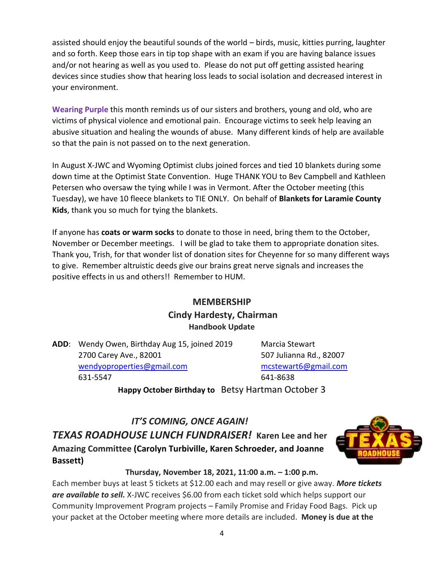assisted should enjoy the beautiful sounds of the world – birds, music, kitties purring, laughter and so forth. Keep those ears in tip top shape with an exam if you are having balance issues and/or not hearing as well as you used to. Please do not put off getting assisted hearing devices since studies show that hearing loss leads to social isolation and decreased interest in your environment.

**Wearing Purple** this month reminds us of our sisters and brothers, young and old, who are victims of physical violence and emotional pain. Encourage victims to seek help leaving an abusive situation and healing the wounds of abuse. Many different kinds of help are available so that the pain is not passed on to the next generation.

In August X-JWC and Wyoming Optimist clubs joined forces and tied 10 blankets during some down time at the Optimist State Convention. Huge THANK YOU to Bev Campbell and Kathleen Petersen who oversaw the tying while I was in Vermont. After the October meeting (this Tuesday), we have 10 fleece blankets to TIE ONLY. On behalf of **Blankets for Laramie County Kids**, thank you so much for tying the blankets.

If anyone has **coats or warm socks** to donate to those in need, bring them to the October, November or December meetings. I will be glad to take them to appropriate donation sites. Thank you, Trish, for that wonder list of donation sites for Cheyenne for so many different ways to give. Remember altruistic deeds give our brains great nerve signals and increases the positive effects in us and others!! Remember to HUM.

## **MEMBERSHIP Cindy Hardesty, Chairman Handbook Update**

**ADD**: Wendy Owen, Birthday Aug 15, joined 2019 Marcia Stewart 2700 Carey Ave., 82001 507 Julianna Rd., 82007 [wendyoproperties@gmail.com](mailto:wendyoproperties@gmail.com) [mcstewart6@gmail.com](mailto:mcstewart6@gmail.com) 631-5547 641-8638

**Happy October Birthday to** Betsy Hartman October 3

## *IT'S COMING, ONCE AGAIN! TEXAS ROADHOUSE LUNCH FUNDRAISER!* **Karen Lee and her Amazing Committee (Carolyn Turbiville, Karen Schroeder, and Joanne Bassett)**



#### **Thursday, November 18, 2021, 11:00 a.m. – 1:00 p.m.**

Each member buys at least 5 tickets at \$12.00 each and may resell or give away. *More tickets are available to sell.* X-JWC receives \$6.00 from each ticket sold which helps support our Community Improvement Program projects – Family Promise and Friday Food Bags. Pick up your packet at the October meeting where more details are included. **Money is due at the**